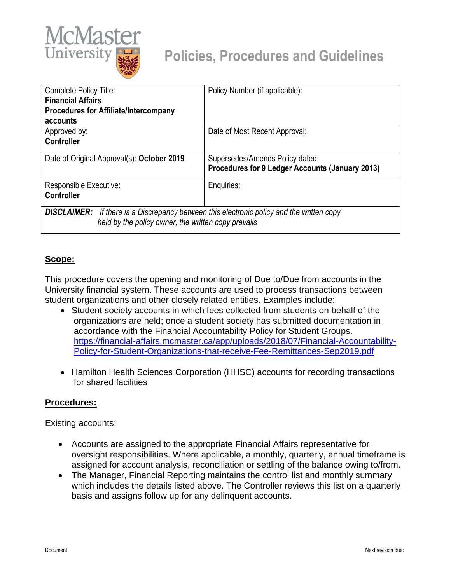

| Complete Policy Title:                                                                              | Policy Number (if applicable):                  |
|-----------------------------------------------------------------------------------------------------|-------------------------------------------------|
| <b>Financial Affairs</b>                                                                            |                                                 |
| <b>Procedures for Affiliate/Intercompany</b>                                                        |                                                 |
| accounts                                                                                            |                                                 |
| Approved by:                                                                                        | Date of Most Recent Approval:                   |
| Controller                                                                                          |                                                 |
| Date of Original Approval(s): October 2019                                                          | Supersedes/Amends Policy dated:                 |
|                                                                                                     | Procedures for 9 Ledger Accounts (January 2013) |
| Responsible Executive:                                                                              | Enquiries:                                      |
| <b>Controller</b>                                                                                   |                                                 |
| <b>DISCLAIMER:</b><br>If there is a Discrepancy between this electronic policy and the written copy |                                                 |
|                                                                                                     |                                                 |
| held by the policy owner, the written copy prevails                                                 |                                                 |

## **Scope:**

This procedure covers the opening and monitoring of Due to/Due from accounts in the University financial system. These accounts are used to process transactions between student organizations and other closely related entities. Examples include:

- Student society accounts in which fees collected from students on behalf of the organizations are held; once a student society has submitted documentation in accordance with the Financial Accountability Policy for Student Groups. [https://financial-affairs.mcmaster.ca/app/uploads/2018/07/Financial-Accountability-](https://financial-affairs.mcmaster.ca/app/uploads/2018/07/Financial-Accountability-Policy-for-Student-Organizations-that-receive-Fee-Remittances-Sep2019.pdf)[Policy-for-Student-Organizations-that-receive-Fee-Remittances-Sep2019.pdf](https://financial-affairs.mcmaster.ca/app/uploads/2018/07/Financial-Accountability-Policy-for-Student-Organizations-that-receive-Fee-Remittances-Sep2019.pdf)
- Hamilton Health Sciences Corporation (HHSC) accounts for recording transactions for shared facilities

## **Procedures:**

Existing accounts:

- Accounts are assigned to the appropriate Financial Affairs representative for oversight responsibilities. Where applicable, a monthly, quarterly, annual timeframe is assigned for account analysis, reconciliation or settling of the balance owing to/from.
- The Manager, Financial Reporting maintains the control list and monthly summary which includes the details listed above. The Controller reviews this list on a quarterly basis and assigns follow up for any delinquent accounts.